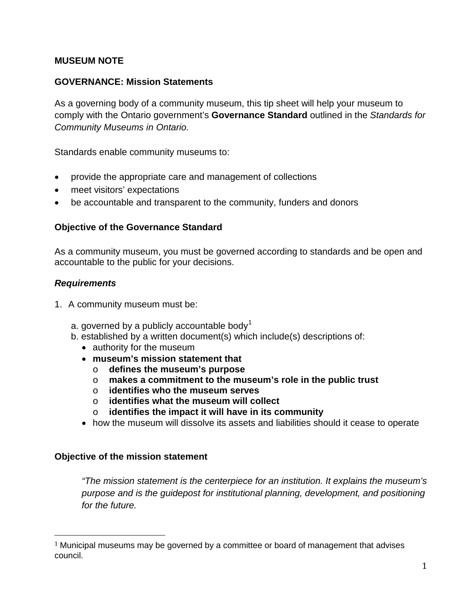## **MUSEUM NOTE**

### **GOVERNANCE: Mission Statements**

As a governing body of a community museum, this tip sheet will help your museum to comply with the Ontario government's **Governance Standard** outlined in the *Standards for Community Museums in Ontario.*

Standards enable community museums to:

- provide the appropriate care and management of collections
- meet visitors' expectations
- be accountable and transparent to the community, funders and donors

#### **Objective of the Governance Standard**

As a community museum, you must be governed according to standards and be open and accountable to the public for your decisions.

#### *Requirements*

- 1. A community museum must be:
	- a. governed by a publicly accountable body<sup>[1](#page-0-0)</sup>
	- b. established by a written document(s) which include(s) descriptions of:
		- authority for the museum
		- **museum's mission statement that**
			- o **defines the museum's purpose**
			- o **makes a commitment to the museum's role in the public trust**
			- o **identifies who the museum serves**
			- identifies what the museum will collect
			- o **identifies the impact it will have in its community**
		- how the museum will dissolve its assets and liabilities should it cease to operate

#### **Objective of the mission statement**

*"The mission statement is the centerpiece for an institution. It explains the museum's purpose and is the guidepost for institutional planning, development, and positioning for the future.* 

<span id="page-0-0"></span><sup>&</sup>lt;sup>1</sup> Municipal museums may be governed by a committee or board of management that advises council. i<br>I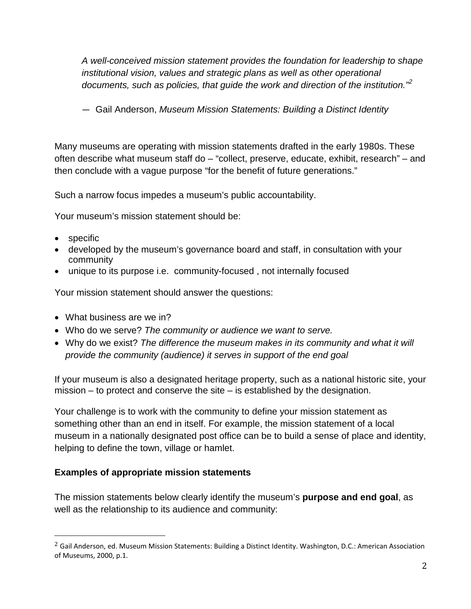*A well-conceived mission statement provides the foundation for leadership to shape institutional vision, values and strategic plans as well as other operational documents, such as policies, that guide the work and direction of the institution."[2](#page-1-0)*

— Gail Anderson, *Museum Mission Statements: Building a Distinct Identity*

Many museums are operating with mission statements drafted in the early 1980s. These often describe what museum staff do – "collect, preserve, educate, exhibit, research" – and then conclude with a vague purpose "for the benefit of future generations."

Such a narrow focus impedes a museum's public accountability.

Your museum's mission statement should be:

- specific
- developed by the museum's governance board and staff, in consultation with your community
- unique to its purpose i.e. community-focused , not internally focused

Your mission statement should answer the questions:

- What business are we in?
- Who do we serve? *The community or audience we want to serve.*
- Why do we exist? *The difference the museum makes in its community and what it will provide the community (audience) it serves in support of the end goal*

If your museum is also a designated heritage property, such as a national historic site, your mission – to protect and conserve the site – is established by the designation.

Your challenge is to work with the community to define your mission statement as something other than an end in itself. For example, the mission statement of a local museum in a nationally designated post office can be to build a sense of place and identity, helping to define the town, village or hamlet.

## **Examples of appropriate mission statements**

The mission statements below clearly identify the museum's **purpose and end goal**, as well as the relationship to its audience and community:

<span id="page-1-0"></span><sup>&</sup>lt;sup>2</sup> Gail Anderson, ed. Museum Mission Statements: Building a Distinct Identity. Washington, D.C.: American Association of Museums, 2000, p.1. i<br>I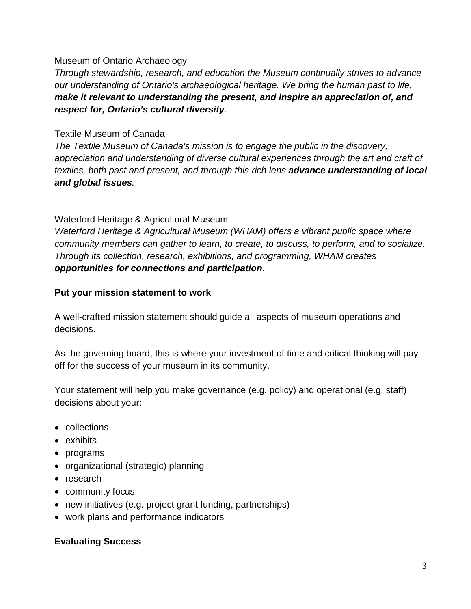### Museum of Ontario Archaeology

*Through stewardship, research, and education the Museum continually strives to advance our understanding of Ontario's archaeological heritage. We bring the human past to life, make it relevant to understanding the present, and inspire an appreciation of, and respect for, Ontario's cultural diversity.*

## Textile Museum of Canada

*The Textile Museum of Canada's mission is to engage the public in the discovery, appreciation and understanding of diverse cultural experiences through the art and craft of textiles, both past and present, and through this rich lens advance understanding of local and global issues.*

# Waterford Heritage & Agricultural Museum

*Waterford Heritage & Agricultural Museum (WHAM) offers a vibrant public space where community members can gather to learn, to create, to discuss, to perform, and to socialize. Through its collection, research, exhibitions, and programming, WHAM creates opportunities for connections and participation.*

## **Put your mission statement to work**

A well-crafted mission statement should guide all aspects of museum operations and decisions.

As the governing board, this is where your investment of time and critical thinking will pay off for the success of your museum in its community.

Your statement will help you make governance (e.g. policy) and operational (e.g. staff) decisions about your:

- collections
- exhibits
- programs
- organizational (strategic) planning
- research
- community focus
- new initiatives (e.g. project grant funding, partnerships)
- work plans and performance indicators

# **Evaluating Success**